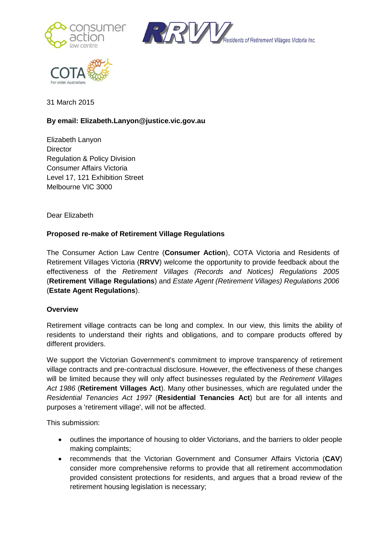





31 March 2015

# **By email: Elizabeth.Lanyon@justice.vic.gov.au**

Elizabeth Lanyon **Director** Regulation & Policy Division Consumer Affairs Victoria Level 17, 121 Exhibition Street Melbourne VIC 3000

Dear Elizabeth

### **Proposed re-make of Retirement Village Regulations**

The Consumer Action Law Centre (**Consumer Action**), COTA Victoria and Residents of Retirement Villages Victoria (**RRVV**) welcome the opportunity to provide feedback about the effectiveness of the *Retirement Villages (Records and Notices) Regulations 2005*  (**Retirement Village Regulations**) and *Estate Agent (Retirement Villages) Regulations 2006*  (**Estate Agent Regulations**).

### **Overview**

Retirement village contracts can be long and complex. In our view, this limits the ability of residents to understand their rights and obligations, and to compare products offered by different providers.

We support the Victorian Government's commitment to improve transparency of retirement village contracts and pre-contractual disclosure. However, the effectiveness of these changes will be limited because they will only affect businesses regulated by the *Retirement Villages Act 1986* (**Retirement Villages Act**). Many other businesses, which are regulated under the *Residential Tenancies Act 1997* (**Residential Tenancies Act**) but are for all intents and purposes a 'retirement village', will not be affected.

This submission:

- outlines the importance of housing to older Victorians, and the barriers to older people making complaints;
- recommends that the Victorian Government and Consumer Affairs Victoria (**CAV**) consider more comprehensive reforms to provide that all retirement accommodation provided consistent protections for residents, and argues that a broad review of the retirement housing legislation is necessary;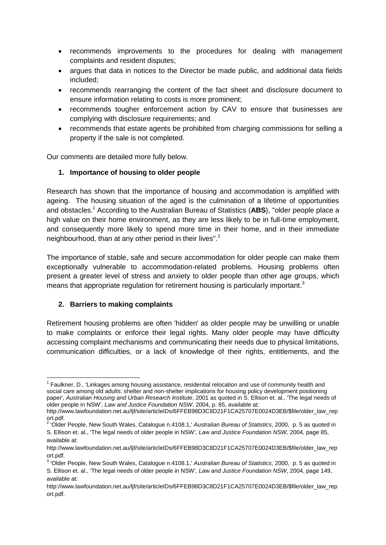- recommends improvements to the procedures for dealing with management complaints and resident disputes;
- argues that data in notices to the Director be made public, and additional data fields included;
- recommends rearranging the content of the fact sheet and disclosure document to ensure information relating to costs is more prominent;
- recommends tougher enforcement action by CAV to ensure that businesses are complying with disclosure requirements; and
- recommends that estate agents be prohibited from charging commissions for selling a property if the sale is not completed.

Our comments are detailed more fully below.

## **1. Importance of housing to older people**

Research has shown that the importance of housing and accommodation is amplified with ageing. The housing situation of the aged is the culmination of a lifetime of opportunities and obstacles.<sup>1</sup> According to the Australian Bureau of Statistics (**ABS**), "older people place a high value on their home environment, as they are less likely to be in full-time employment, and consequently more likely to spend more time in their home, and in their immediate neighbourhood, than at any other period in their lives".<sup>2</sup>

The importance of stable, safe and secure accommodation for older people can make them exceptionally vulnerable to accommodation-related problems. Housing problems often present a greater level of stress and anxiety to older people than other age groups, which means that appropriate regulation for retirement housing is particularly important.<sup>3</sup>

## **2. Barriers to making complaints**

 $\overline{a}$ 

Retirement housing problems are often 'hidden' as older people may be unwilling or unable to make complaints or enforce their legal rights. Many older people may have difficulty accessing complaint mechanisms and communicating their needs due to physical limitations, communication difficulties, or a lack of knowledge of their rights, entitlements, and the

<sup>&</sup>lt;sup>1</sup> Faulkner, D., 'Linkages among housing assistance, residential relocation and use of community health and social care among old adults: shelter and non-shelter implications for housing policy development positioning paper', *Australian Housing and Urban Research Institute*, 2001 as quoted in S. Ellison et. al., 'The legal needs of older people in NSW', *Law and Justice Foundation NSW*, 2004, p. 85, available at:

http://www.lawfoundation.net.au/ljf/site/articleIDs/6FFEB98D3C8D21F1CA25707E0024D3EB/\$file/older\_law\_rep ort.pdf. 2 'Older People, New South Wales, Catalogue n.4108.1,' *Australian Bureau of Statistics*, 2000, p. 5 as quoted in

S. Ellison et. al., 'The legal needs of older people in NSW', *Law and Justice Foundation NSW*, 2004, page 85, available at:

http://www.lawfoundation.net.au/ljf/site/articleIDs/6FFEB98D3C8D21F1CA25707E0024D3EB/\$file/older\_law\_rep ort.pdf.

<sup>3</sup> 'Older People, New South Wales, Catalogue n.4108.1,' *Australian Bureau of Statistics*, 2000, p. 5 as quoted in S. Ellison et. al., 'The legal needs of older people in NSW', *Law and Justice Foundation NSW*, 2004, page 149, available at:

http://www.lawfoundation.net.au/lif/site/articleIDs/6FFEB98D3C8D21F1CA25707E0024D3EB/\$file/older\_law\_rep ort.pdf.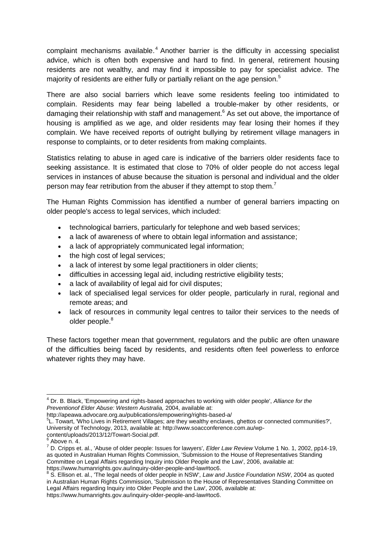complaint mechanisms available. <sup>4</sup> Another barrier is the difficulty in accessing specialist advice, which is often both expensive and hard to find. In general, retirement housing residents are not wealthy, and may find it impossible to pay for specialist advice. The majority of residents are either fully or partially reliant on the age pension.<sup>5</sup>

There are also social barriers which leave some residents feeling too intimidated to complain. Residents may fear being labelled a trouble-maker by other residents, or damaging their relationship with staff and management.<sup>6</sup> As set out above, the importance of housing is amplified as we age, and older residents may fear losing their homes if they complain. We have received reports of outright bullying by retirement village managers in response to complaints, or to deter residents from making complaints.

Statistics relating to abuse in aged care is indicative of the barriers older residents face to seeking assistance. It is estimated that close to 70% of older people do not access legal services in instances of abuse because the situation is personal and individual and the older person may fear retribution from the abuser if they attempt to stop them.<sup>7</sup>

The Human Rights Commission has identified a number of general barriers impacting on older people's access to legal services, which included:

- technological barriers, particularly for telephone and web based services;
- a lack of awareness of where to obtain legal information and assistance;
- a lack of appropriately communicated legal information:
- the high cost of legal services;
- a lack of interest by some legal practitioners in older clients;
- difficulties in accessing legal aid, including restrictive eligibility tests;
- a lack of availability of legal aid for civil disputes;
- lack of specialised legal services for older people, particularly in rural, regional and remote areas; and
- lack of resources in community legal centres to tailor their services to the needs of older people.<sup>8</sup>

These factors together mean that government, regulators and the public are often unaware of the difficulties being faced by residents, and residents often feel powerless to enforce whatever rights they may have.

**<sup>.</sup>** <sup>4</sup> Dr. B. Black, 'Empowering and rights-based approaches to working with older people', *Alliance for the Preventionof Elder Abuse: Western Australia,* 2004, available at:

http://apeawa.advocare.org.au/publications/empowering/rights-based-a/

<sup>&</sup>lt;sup>5</sup>L. Towart, 'Who Lives in Retirement Villages; are they wealthy enclaves, ghettos or connected communities?', University of Technology, 2013, available at: http://www.soacconference.com.au/wp-

content/uploads/2013/12/Towart-Social.pdf.

<sup>6</sup> Above n. 4.

<sup>7</sup> D. Cripps et. al., 'Abuse of older people: Issues for lawyers', *Elder Law Review* Volume 1 No. 1, 2002, pp14-19, as quoted in Australian Human Rights Commission, 'Submission to the House of Representatives Standing Committee on Legal Affairs regarding Inquiry into Older People and the Law', 2006, available at: https://www.humanrights.gov.au/inquiry-older-people-and-law#toc6.

<sup>&</sup>lt;sup>8</sup> S. Ellison et. al., 'The legal needs of older people in NSW', *Law and Justice Foundation NSW*, 2004 as quoted in Australian Human Rights Commission, 'Submission to the House of Representatives Standing Committee on Legal Affairs regarding Inquiry into Older People and the Law', 2006, available at: https://www.humanrights.gov.au/inquiry-older-people-and-law#toc6.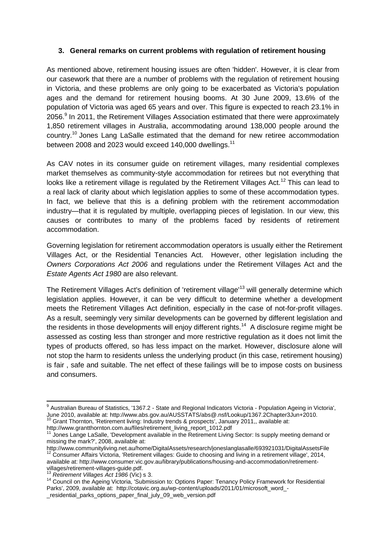### **3. General remarks on current problems with regulation of retirement housing**

As mentioned above, retirement housing issues are often 'hidden'. However, it is clear from our casework that there are a number of problems with the regulation of retirement housing in Victoria, and these problems are only going to be exacerbated as Victoria's population ages and the demand for retirement housing booms. At 30 June 2009, 13.6% of the population of Victoria was aged 65 years and over. This figure is expected to reach 23.1% in 2056.<sup>9</sup> In 2011, the Retirement Villages Association estimated that there were approximately 1,850 retirement villages in Australia, accommodating around 138,000 people around the country.<sup>10</sup> Jones Lang LaSalle estimated that the demand for new retiree accommodation between 2008 and 2023 would exceed 140,000 dwellings.<sup>11</sup>

As CAV notes in its consumer guide on retirement villages, many residential complexes market themselves as community-style accommodation for retirees but not everything that looks like a retirement village is regulated by the Retirement Villages Act.<sup>12</sup> This can lead to a real lack of clarity about which legislation applies to some of these accommodation types. In fact, we believe that this is a defining problem with the retirement accommodation industry—that it is regulated by multiple, overlapping pieces of legislation. In our view, this causes or contributes to many of the problems faced by residents of retirement accommodation.

Governing legislation for retirement accommodation operators is usually either the Retirement Villages Act, or the Residential Tenancies Act. However, other legislation including the *Owners Corporations Act 2006* and regulations under the Retirement Villages Act and the *Estate Agents Act 1980* are also relevant.

The Retirement Villages Act's definition of 'retirement village<sup>13</sup> will generally determine which legislation applies. However, it can be very difficult to determine whether a development meets the Retirement Villages Act definition, especially in the case of not-for-profit villages. As a result, seemingly very similar developments can be governed by different legislation and the residents in those developments will enjoy different rights.<sup>14</sup> A disclosure regime might be assessed as costing less than stronger and more restrictive regulation as it does not limit the types of products offered, so has less impact on the market. However, disclosure alone will not stop the harm to residents unless the underlying product (in this case, retirement housing) is fair , safe and suitable. The net effect of these failings will be to impose costs on business and consumers.

 9 Australian Bureau of Statistics, '1367.2 - State and Regional Indicators Victoria - Population Ageing in Victoria', June 2010, available at: http://www.abs.gov.au/AUSSTATS/abs@.nsf/Lookup/1367.2Chapter3Jun+2010.  $^{0}$  Grant Thornton, 'Retirement living: Industry trends & prospects', January 2011,, available at:

http://www.grantthornton.com.au/files/retirement\_living\_report\_1012.pdf

<sup>&</sup>lt;sup>11</sup> Jones Lange LaSalle, 'Development available in the Retirement Living Sector: Is supply meeting demand or missing the mark?', 2008, available at:

http://www.communityliving.net.au/home/DigitalAssets/research/joneslanglasalle/693921031/DigitalAssetsFile <sup>12</sup> Consumer Affairs Victoria, 'Retirement villages: Guide to choosing and living in a retirement village', 2014, available at: http://www.consumer.vic.gov.au/library/publications/housing-and-accommodation/retirement-

villages/retirement-villages-guide.pdf. <sup>13</sup> *Retirement Villages Act 1986* (Vic) s 3.

<sup>14</sup> Council on the Ageing Victoria, 'Submission to: Options Paper: Tenancy Policy Framework for Residential Parks', 2009, available at: http://cotavic.org.au/wp-content/uploads/2011/01/microsoft\_word\_-

\_residential\_parks\_options\_paper\_final\_july\_09\_web\_version.pdf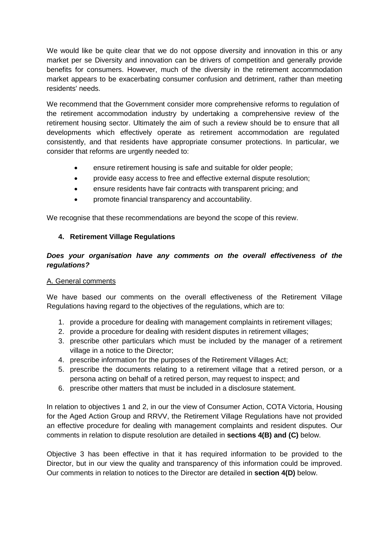We would like be quite clear that we do not oppose diversity and innovation in this or any market per se Diversity and innovation can be drivers of competition and generally provide benefits for consumers. However, much of the diversity in the retirement accommodation market appears to be exacerbating consumer confusion and detriment, rather than meeting residents' needs.

We recommend that the Government consider more comprehensive reforms to regulation of the retirement accommodation industry by undertaking a comprehensive review of the retirement housing sector. Ultimately the aim of such a review should be to ensure that all developments which effectively operate as retirement accommodation are regulated consistently, and that residents have appropriate consumer protections. In particular, we consider that reforms are urgently needed to:

- ensure retirement housing is safe and suitable for older people;
- provide easy access to free and effective external dispute resolution;
- ensure residents have fair contracts with transparent pricing; and
- promote financial transparency and accountability.

We recognise that these recommendations are beyond the scope of this review.

## **4. Retirement Village Regulations**

## *Does your organisation have any comments on the overall effectiveness of the regulations?*

### A. General comments

We have based our comments on the overall effectiveness of the Retirement Village Regulations having regard to the objectives of the regulations, which are to:

- 1. provide a procedure for dealing with management complaints in retirement villages;
- 2. provide a procedure for dealing with resident disputes in retirement villages;
- 3. prescribe other particulars which must be included by the manager of a retirement village in a notice to the Director;
- 4. prescribe information for the purposes of the Retirement Villages Act;
- 5. prescribe the documents relating to a retirement village that a retired person, or a persona acting on behalf of a retired person, may request to inspect; and
- 6. prescribe other matters that must be included in a disclosure statement.

In relation to objectives 1 and 2, in our the view of Consumer Action, COTA Victoria, Housing for the Aged Action Group and RRVV, the Retirement Village Regulations have not provided an effective procedure for dealing with management complaints and resident disputes. Our comments in relation to dispute resolution are detailed in **sections 4(B) and (C)** below.

Objective 3 has been effective in that it has required information to be provided to the Director, but in our view the quality and transparency of this information could be improved. Our comments in relation to notices to the Director are detailed in **section 4(D)** below.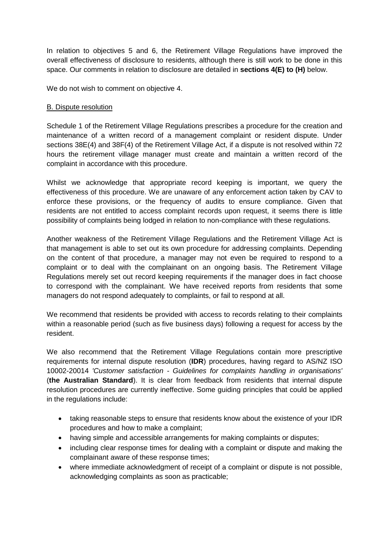In relation to objectives 5 and 6, the Retirement Village Regulations have improved the overall effectiveness of disclosure to residents, although there is still work to be done in this space. Our comments in relation to disclosure are detailed in **sections 4(E) to (H)** below.

We do not wish to comment on objective 4.

### B. Dispute resolution

Schedule 1 of the Retirement Village Regulations prescribes a procedure for the creation and maintenance of a written record of a management complaint or resident dispute. Under sections 38E(4) and 38F(4) of the Retirement Village Act, if a dispute is not resolved within 72 hours the retirement village manager must create and maintain a written record of the complaint in accordance with this procedure.

Whilst we acknowledge that appropriate record keeping is important, we query the effectiveness of this procedure. We are unaware of any enforcement action taken by CAV to enforce these provisions, or the frequency of audits to ensure compliance. Given that residents are not entitled to access complaint records upon request, it seems there is little possibility of complaints being lodged in relation to non-compliance with these regulations.

Another weakness of the Retirement Village Regulations and the Retirement Village Act is that management is able to set out its own procedure for addressing complaints. Depending on the content of that procedure, a manager may not even be required to respond to a complaint or to deal with the complainant on an ongoing basis. The Retirement Village Regulations merely set out record keeping requirements if the manager does in fact choose to correspond with the complainant. We have received reports from residents that some managers do not respond adequately to complaints, or fail to respond at all.

We recommend that residents be provided with access to records relating to their complaints within a reasonable period (such as five business days) following a request for access by the resident.

We also recommend that the Retirement Village Regulations contain more prescriptive requirements for internal dispute resolution (**IDR**) procedures, having regard to AS/NZ ISO 10002-20014 *'Customer satisfaction - Guidelines for complaints handling in organisations'* (**the Australian Standard**). It is clear from feedback from residents that internal dispute resolution procedures are currently ineffective. Some guiding principles that could be applied in the regulations include:

- taking reasonable steps to ensure that residents know about the existence of your IDR procedures and how to make a complaint;
- having simple and accessible arrangements for making complaints or disputes;
- including clear response times for dealing with a complaint or dispute and making the complainant aware of these response times;
- where immediate acknowledgment of receipt of a complaint or dispute is not possible, acknowledging complaints as soon as practicable;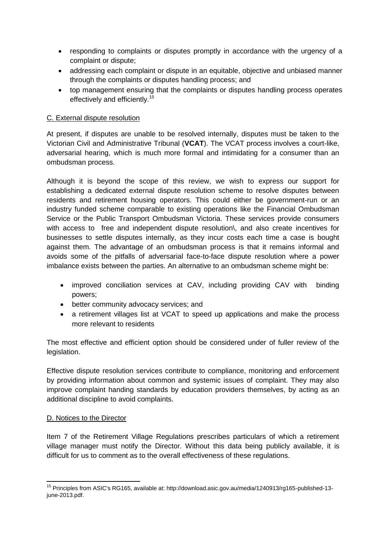- responding to complaints or disputes promptly in accordance with the urgency of a complaint or dispute;
- addressing each complaint or dispute in an equitable, objective and unbiased manner through the complaints or disputes handling process; and
- top management ensuring that the complaints or disputes handling process operates effectively and efficiently.<sup>15</sup>

### C. External dispute resolution

At present, if disputes are unable to be resolved internally, disputes must be taken to the Victorian Civil and Administrative Tribunal (**VCAT**). The VCAT process involves a court-like, adversarial hearing, which is much more formal and intimidating for a consumer than an ombudsman process.

Although it is beyond the scope of this review, we wish to express our support for establishing a dedicated external dispute resolution scheme to resolve disputes between residents and retirement housing operators. This could either be government-run or an industry funded scheme comparable to existing operations like the Financial Ombudsman Service or the Public Transport Ombudsman Victoria. These services provide consumers with access to free and independent dispute resolution), and also create incentives for businesses to settle disputes internally, as they incur costs each time a case is bought against them. The advantage of an ombudsman process is that it remains informal and avoids some of the pitfalls of adversarial face-to-face dispute resolution where a power imbalance exists between the parties. An alternative to an ombudsman scheme might be:

- improved conciliation services at CAV, including providing CAV with binding powers;
- better community advocacy services; and
- a retirement villages list at VCAT to speed up applications and make the process more relevant to residents

The most effective and efficient option should be considered under of fuller review of the legislation.

Effective dispute resolution services contribute to compliance, monitoring and enforcement by providing information about common and systemic issues of complaint. They may also improve complaint handing standards by education providers themselves, by acting as an additional discipline to avoid complaints.

### D. Notices to the Director

Item 7 of the Retirement Village Regulations prescribes particulars of which a retirement village manager must notify the Director. Without this data being publicly available, it is difficult for us to comment as to the overall effectiveness of these regulations.

**<sup>.</sup>** <sup>15</sup> Principles from ASIC's RG165, available at: http://download.asic.gov.au/media/1240913/rg165-published-13june-2013.pdf.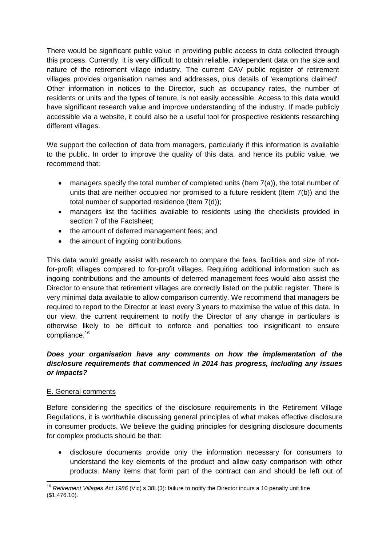There would be significant public value in providing public access to data collected through this process. Currently, it is very difficult to obtain reliable, independent data on the size and nature of the retirement village industry. The current CAV public register of retirement villages provides organisation names and addresses, plus details of 'exemptions claimed'. Other information in notices to the Director, such as occupancy rates, the number of residents or units and the types of tenure, is not easily accessible. Access to this data would have significant research value and improve understanding of the industry. If made publicly accessible via a website, it could also be a useful tool for prospective residents researching different villages.

We support the collection of data from managers, particularly if this information is available to the public. In order to improve the quality of this data, and hence its public value, we recommend that:

- managers specify the total number of completed units (Item 7(a)), the total number of units that are neither occupied nor promised to a future resident (Item 7(b)) and the total number of supported residence (Item 7(d));
- managers list the facilities available to residents using the checklists provided in section 7 of the Factsheet;
- the amount of deferred management fees; and
- the amount of ingoing contributions.

This data would greatly assist with research to compare the fees, facilities and size of notfor-profit villages compared to for-profit villages. Requiring additional information such as ingoing contributions and the amounts of deferred management fees would also assist the Director to ensure that retirement villages are correctly listed on the public register. There is very minimal data available to allow comparison currently. We recommend that managers be required to report to the Director at least every 3 years to maximise the value of this data. In our view, the current requirement to notify the Director of any change in particulars is otherwise likely to be difficult to enforce and penalties too insignificant to ensure compliance.<sup>16</sup>

## *Does your organisation have any comments on how the implementation of the disclosure requirements that commenced in 2014 has progress, including any issues or impacts?*

### E. General comments

Before considering the specifics of the disclosure requirements in the Retirement Village Regulations, it is worthwhile discussing general principles of what makes effective disclosure in consumer products. We believe the guiding principles for designing disclosure documents for complex products should be that:

 disclosure documents provide only the information necessary for consumers to understand the key elements of the product and allow easy comparison with other products. Many items that form part of the contract can and should be left out of

**<sup>.</sup>** <sup>16</sup> *Retirement Villages Act 1986* (Vic) s 38L(3): failure to notify the Director incurs a 10 penalty unit fine (\$1,476.10).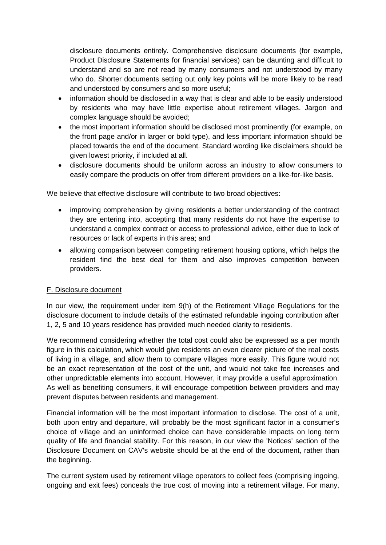disclosure documents entirely. Comprehensive disclosure documents (for example, Product Disclosure Statements for financial services) can be daunting and difficult to understand and so are not read by many consumers and not understood by many who do. Shorter documents setting out only key points will be more likely to be read and understood by consumers and so more useful;

- information should be disclosed in a way that is clear and able to be easily understood by residents who may have little expertise about retirement villages. Jargon and complex language should be avoided;
- the most important information should be disclosed most prominently (for example, on the front page and/or in larger or bold type), and less important information should be placed towards the end of the document. Standard wording like disclaimers should be given lowest priority, if included at all.
- disclosure documents should be uniform across an industry to allow consumers to easily compare the products on offer from different providers on a like-for-like basis.

We believe that effective disclosure will contribute to two broad objectives:

- improving comprehension by giving residents a better understanding of the contract they are entering into, accepting that many residents do not have the expertise to understand a complex contract or access to professional advice, either due to lack of resources or lack of experts in this area; and
- allowing comparison between competing retirement housing options, which helps the resident find the best deal for them and also improves competition between providers.

### F. Disclosure document

In our view, the requirement under item 9(h) of the Retirement Village Regulations for the disclosure document to include details of the estimated refundable ingoing contribution after 1, 2, 5 and 10 years residence has provided much needed clarity to residents.

We recommend considering whether the total cost could also be expressed as a per month figure in this calculation, which would give residents an even clearer picture of the real costs of living in a village, and allow them to compare villages more easily. This figure would not be an exact representation of the cost of the unit, and would not take fee increases and other unpredictable elements into account. However, it may provide a useful approximation. As well as benefiting consumers, it will encourage competition between providers and may prevent disputes between residents and management.

Financial information will be the most important information to disclose. The cost of a unit, both upon entry and departure, will probably be the most significant factor in a consumer's choice of village and an uninformed choice can have considerable impacts on long term quality of life and financial stability. For this reason, in our view the 'Notices' section of the Disclosure Document on CAV's website should be at the end of the document, rather than the beginning.

The current system used by retirement village operators to collect fees (comprising ingoing, ongoing and exit fees) conceals the true cost of moving into a retirement village. For many,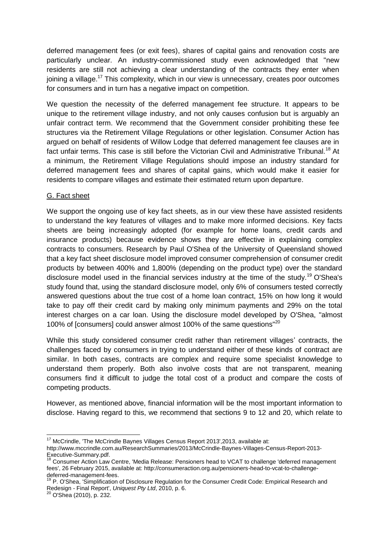deferred management fees (or exit fees), shares of capital gains and renovation costs are particularly unclear. An industry-commissioned study even acknowledged that "new residents are still not achieving a clear understanding of the contracts they enter when joining a village.<sup>17</sup> This complexity, which in our view is unnecessary, creates poor outcomes for consumers and in turn has a negative impact on competition.

We question the necessity of the deferred management fee structure. It appears to be unique to the retirement village industry, and not only causes confusion but is arguably an unfair contract term. We recommend that the Government consider prohibiting these fee structures via the Retirement Village Regulations or other legislation. Consumer Action has argued on behalf of residents of Willow Lodge that deferred management fee clauses are in fact unfair terms. This case is still before the Victorian Civil and Administrative Tribunal.<sup>18</sup> At a minimum, the Retirement Village Regulations should impose an industry standard for deferred management fees and shares of capital gains, which would make it easier for residents to compare villages and estimate their estimated return upon departure.

### G. Fact sheet

We support the ongoing use of key fact sheets, as in our view these have assisted residents to understand the key features of villages and to make more informed decisions. Key facts sheets are being increasingly adopted (for example for home loans, credit cards and insurance products) because evidence shows they are effective in explaining complex contracts to consumers. Research by Paul O'Shea of the University of Queensland showed that a key fact sheet disclosure model improved consumer comprehension of consumer credit products by between 400% and 1,800% (depending on the product type) over the standard disclosure model used in the financial services industry at the time of the study.<sup>19</sup> O'Shea's study found that, using the standard disclosure model, only 6% of consumers tested correctly answered questions about the true cost of a home loan contract, 15% on how long it would take to pay off their credit card by making only minimum payments and 29% on the total interest charges on a car loan. Using the disclosure model developed by O'Shea, "almost 100% of [consumers] could answer almost 100% of the same questions"<sup>20</sup>

While this study considered consumer credit rather than retirement villages' contracts, the challenges faced by consumers in trying to understand either of these kinds of contract are similar. In both cases, contracts are complex and require some specialist knowledge to understand them properly. Both also involve costs that are not transparent, meaning consumers find it difficult to judge the total cost of a product and compare the costs of competing products.

However, as mentioned above, financial information will be the most important information to disclose. Having regard to this, we recommend that sections 9 to 12 and 20, which relate to

**.** 

 $17$  McCrindle, 'The McCrindle Baynes Villages Census Report 2013', 2013, available at: http://www.mccrindle.com.au/ResearchSummaries/2013/McCrindle-Baynes-Villages-Census-Report-2013- Executive-Summary.pdf.

<sup>18</sup> Consumer Action Law Centre, 'Media Release: Pensioners head to VCAT to challenge 'deferred management fees', 26 February 2015, available at: http://consumeraction.org.au/pensioners-head-to-vcat-to-challengedeferred-management-fees.

<sup>&</sup>lt;sup>19</sup> P. O'Shea, 'Simplification of Disclosure Regulation for the Consumer Credit Code: Empirical Research and Redesign - Final Report', *Uniquest Pty Ltd*, 2010, p. 6.

<sup>&</sup>lt;sup>20</sup> O'Shea (2010), p. 232.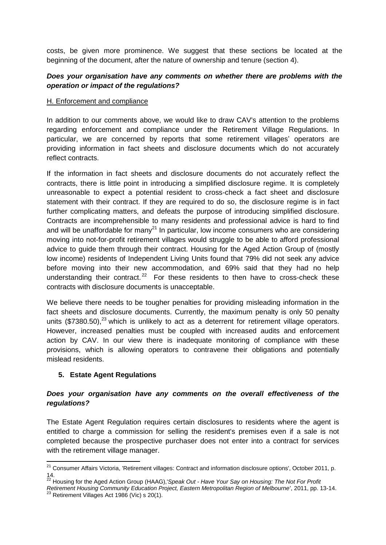costs, be given more prominence. We suggest that these sections be located at the beginning of the document, after the nature of ownership and tenure (section 4).

## *Does your organisation have any comments on whether there are problems with the operation or impact of the regulations?*

#### H. Enforcement and compliance

In addition to our comments above, we would like to draw CAV's attention to the problems regarding enforcement and compliance under the Retirement Village Regulations. In particular, we are concerned by reports that some retirement villages' operators are providing information in fact sheets and disclosure documents which do not accurately reflect contracts.

If the information in fact sheets and disclosure documents do not accurately reflect the contracts, there is little point in introducing a simplified disclosure regime. It is completely unreasonable to expect a potential resident to cross-check a fact sheet and disclosure statement with their contract. If they are required to do so, the disclosure regime is in fact further complicating matters, and defeats the purpose of introducing simplified disclosure. Contracts are incomprehensible to many residents and professional advice is hard to find and will be unaffordable for many<sup>21</sup> In particular, low income consumers who are considering moving into not-for-profit retirement villages would struggle to be able to afford professional advice to guide them through their contract. Housing for the Aged Action Group of (mostly low income) residents of Independent Living Units found that 79% did not seek any advice before moving into their new accommodation, and 69% said that they had no help understanding their contract.<sup>22</sup> For these residents to then have to cross-check these contracts with disclosure documents is unacceptable.

We believe there needs to be tougher penalties for providing misleading information in the fact sheets and disclosure documents. Currently, the maximum penalty is only 50 penalty units (\$7380.50),<sup>23</sup> which is unlikely to act as a deterrent for retirement village operators. However, increased penalties must be coupled with increased audits and enforcement action by CAV. In our view there is inadequate monitoring of compliance with these provisions, which is allowing operators to contravene their obligations and potentially mislead residents.

### **5. Estate Agent Regulations**

### *Does your organisation have any comments on the overall effectiveness of the regulations?*

The Estate Agent Regulation requires certain disclosures to residents where the agent is entitled to charge a commission for selling the resident's premises even if a sale is not completed because the prospective purchaser does not enter into a contract for services with the retirement village manager.

 $\overline{\phantom{a}}$ <sup>21</sup> Consumer Affairs Victoria, 'Retirement villages: Contract and information disclosure options', October 2011, p. 14.

<sup>22</sup> Housing for the Aged Action Group (HAAG),'*Speak Out - Have Your Say on Housing: The Not For Profit* 

*Retirement Housing Community Education Project, Eastern Metropolitan Region of Melbourne'*, 2011, pp. 13-14.  $23$  Retirement Villages Act 1986 (Vic) s 20(1).